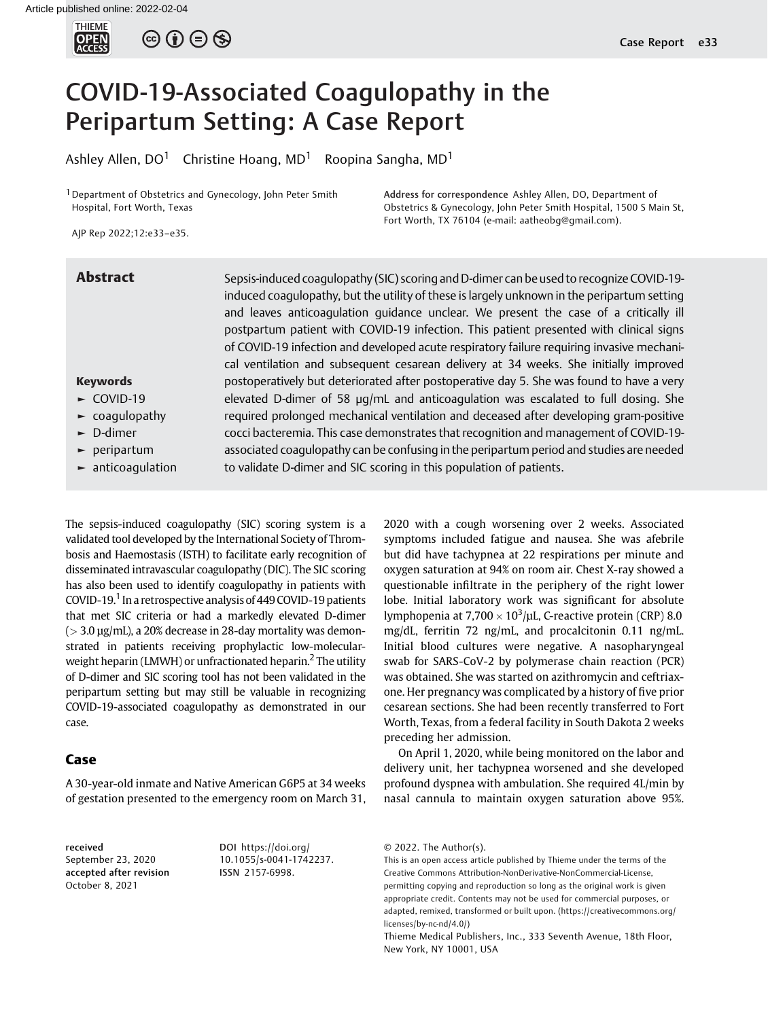

 $\circledcirc$   $\oplus$   $\circledcirc$ 

# COVID-19-Associated Coagulopathy in the Peripartum Setting: A Case Report

Ashley Allen,  $DO<sup>1</sup>$  Christine Hoang, MD<sup>1</sup> Roopina Sangha, MD<sup>1</sup>

<sup>1</sup> Department of Obstetrics and Gynecology, John Peter Smith Hospital, Fort Worth, Texas

Address for correspondence Ashley Allen, DO, Department of Obstetrics & Gynecology, John Peter Smith Hospital, 1500 S Main St, Fort Worth, TX 76104 (e-mail: [aatheobg@gmail.com\)](mailto:aatheobg@gmail.com).

AJP Rep 2022;12:e33–e35.

#### Keywords ► COVID-19 ► coagulopathy ► D-dimer ► peripartum ► anticoagulation Abstract Sepsis-induced coagulopathy (SIC) scoring and D-dimer can be used to recognize COVID-19induced coagulopathy, but the utility of these is largely unknown in the peripartum setting and leaves anticoagulation guidance unclear. We present the case of a critically ill postpartum patient with COVID-19 infection. This patient presented with clinical signs of COVID-19 infection and developed acute respiratory failure requiring invasive mechanical ventilation and subsequent cesarean delivery at 34 weeks. She initially improved postoperatively but deteriorated after postoperative day 5. She was found to have a very elevated D-dimer of 58 μg/mL and anticoagulation was escalated to full dosing. She required prolonged mechanical ventilation and deceased after developing gram-positive cocci bacteremia. This case demonstrates that recognition and management of COVID-19 associated coagulopathy can be confusing in the peripartum period and studies are needed to validate D-dimer and SIC scoring in this population of patients.

The sepsis-induced coagulopathy (SIC) scoring system is a validated tool developed by the International Society of Thrombosis and Haemostasis (ISTH) to facilitate early recognition of disseminated intravascular coagulopathy (DIC). The SIC scoring has also been used to identify coagulopathy in patients with COVID-19.<sup>1</sup> In a retrospective analysis of 449 COVID-19 patients that met SIC criteria or had a markedly elevated D-dimer  $(> 3.0 \,\mu$ g/mL), a 20% decrease in 28-day mortality was demonstrated in patients receiving prophylactic low-molecularweight heparin (LMWH) or unfractionated heparin.<sup>2</sup> The utility of D-dimer and SIC scoring tool has not been validated in the peripartum setting but may still be valuable in recognizing COVID-19-associated coagulopathy as demonstrated in our case.

## Case

A 30-year-old inmate and Native American G6P5 at 34 weeks of gestation presented to the emergency room on March 31,

received September 23, 2020 accepted after revision October 8, 2021

DOI [https://doi.org/](https://doi.org/10.1055/s-0041-1742237) [10.1055/s-0041-1742237](https://doi.org/10.1055/s-0041-1742237). ISSN 2157-6998.

2020 with a cough worsening over 2 weeks. Associated symptoms included fatigue and nausea. She was afebrile but did have tachypnea at 22 respirations per minute and oxygen saturation at 94% on room air. Chest X-ray showed a questionable infiltrate in the periphery of the right lower lobe. Initial laboratory work was significant for absolute lymphopenia at  $7,700 \times 10^3$ /µL, C-reactive protein (CRP) 8.0 mg/dL, ferritin 72 ng/mL, and procalcitonin 0.11 ng/mL. Initial blood cultures were negative. A nasopharyngeal swab for SARS-CoV-2 by polymerase chain reaction (PCR) was obtained. She was started on azithromycin and ceftriaxone. Her pregnancy was complicated by a history of five prior cesarean sections. She had been recently transferred to Fort Worth, Texas, from a federal facility in South Dakota 2 weeks preceding her admission.

On April 1, 2020, while being monitored on the labor and delivery unit, her tachypnea worsened and she developed profound dyspnea with ambulation. She required 4L/min by nasal cannula to maintain oxygen saturation above 95%.

<sup>© 2022.</sup> The Author(s).

This is an open access article published by Thieme under the terms of the Creative Commons Attribution-NonDerivative-NonCommercial-License, permitting copying and reproduction so long as the original work is given appropriate credit. Contents may not be used for commercial purposes, or adapted, remixed, transformed or built upon. (https://creativecommons.org/ licenses/by-nc-nd/4.0/)

Thieme Medical Publishers, Inc., 333 Seventh Avenue, 18th Floor, New York, NY 10001, USA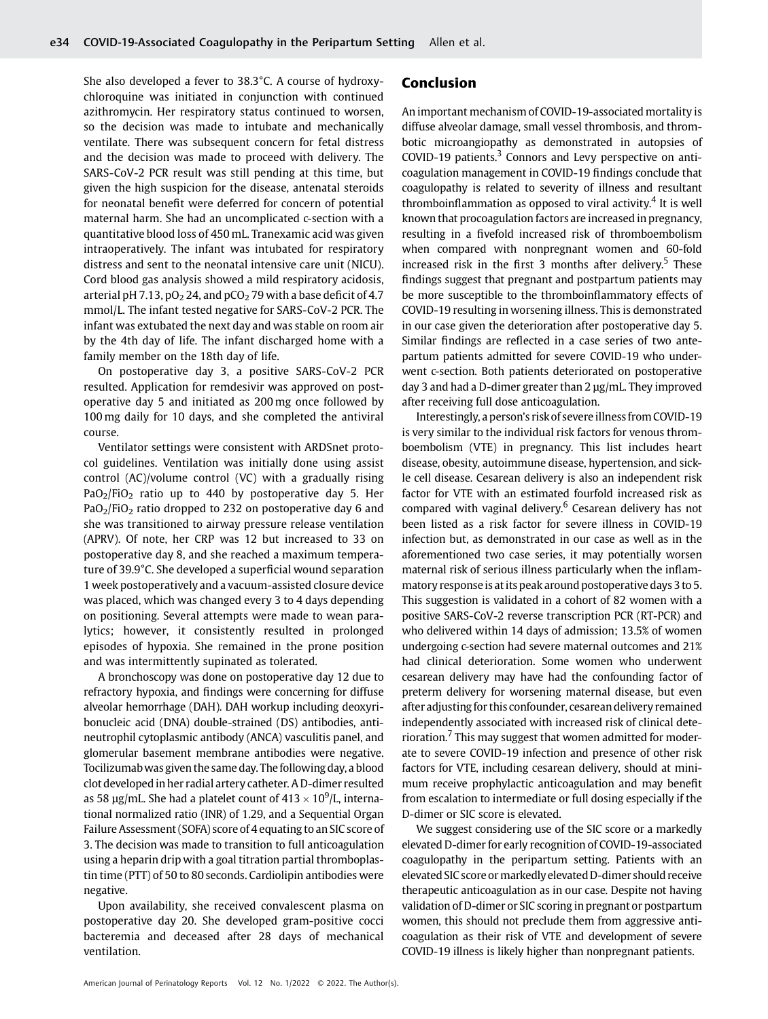She also developed a fever to 38.3°C. A course of hydroxychloroquine was initiated in conjunction with continued azithromycin. Her respiratory status continued to worsen, so the decision was made to intubate and mechanically ventilate. There was subsequent concern for fetal distress and the decision was made to proceed with delivery. The SARS-CoV-2 PCR result was still pending at this time, but given the high suspicion for the disease, antenatal steroids for neonatal benefit were deferred for concern of potential maternal harm. She had an uncomplicated c-section with a quantitative blood loss of 450 mL. Tranexamic acid was given intraoperatively. The infant was intubated for respiratory distress and sent to the neonatal intensive care unit (NICU). Cord blood gas analysis showed a mild respiratory acidosis, arterial pH 7.13,  $pO<sub>2</sub> 24$ , and pCO<sub>2</sub> 79 with a base deficit of 4.7 mmol/L. The infant tested negative for SARS-CoV-2 PCR. The infant was extubated the next day and was stable on room air by the 4th day of life. The infant discharged home with a family member on the 18th day of life.

On postoperative day 3, a positive SARS-CoV-2 PCR resulted. Application for remdesivir was approved on postoperative day 5 and initiated as 200 mg once followed by 100 mg daily for 10 days, and she completed the antiviral course.

Ventilator settings were consistent with ARDSnet protocol guidelines. Ventilation was initially done using assist control (AC)/volume control (VC) with a gradually rising  $PaO<sub>2</sub>/FiO<sub>2</sub>$  ratio up to 440 by postoperative day 5. Her  $PaO<sub>2</sub>/FiO<sub>2</sub>$  ratio dropped to 232 on postoperative day 6 and she was transitioned to airway pressure release ventilation (APRV). Of note, her CRP was 12 but increased to 33 on postoperative day 8, and she reached a maximum temperature of 39.9°C. She developed a superficial wound separation 1 week postoperatively and a vacuum-assisted closure device was placed, which was changed every 3 to 4 days depending on positioning. Several attempts were made to wean paralytics; however, it consistently resulted in prolonged episodes of hypoxia. She remained in the prone position and was intermittently supinated as tolerated.

A bronchoscopy was done on postoperative day 12 due to refractory hypoxia, and findings were concerning for diffuse alveolar hemorrhage (DAH). DAH workup including deoxyribonucleic acid (DNA) double-strained (DS) antibodies, antineutrophil cytoplasmic antibody (ANCA) vasculitis panel, and glomerular basement membrane antibodies were negative. Tocilizumabwas given the same day. The following day, a blood clot developed in her radial artery catheter. A D-dimer resulted as 58  $\mu$ g/mL. She had a platelet count of 413  $\times$  10 $^{9}$ /L, international normalized ratio (INR) of 1.29, and a Sequential Organ Failure Assessment (SOFA) score of 4 equating to an SIC score of 3. The decision was made to transition to full anticoagulation using a heparin drip with a goal titration partial thromboplastin time (PTT) of 50 to 80 seconds. Cardiolipin antibodies were negative.

Upon availability, she received convalescent plasma on postoperative day 20. She developed gram-positive cocci bacteremia and deceased after 28 days of mechanical ventilation.

## Conclusion

An important mechanism of COVID-19-associated mortality is diffuse alveolar damage, small vessel thrombosis, and thrombotic microangiopathy as demonstrated in autopsies of COVID-19 patients.<sup>3</sup> Connors and Levy perspective on anticoagulation management in COVID-19 findings conclude that coagulopathy is related to severity of illness and resultant thromboinflammation as opposed to viral activity.<sup>4</sup> It is well known that procoagulation factors are increased in pregnancy, resulting in a fivefold increased risk of thromboembolism when compared with nonpregnant women and 60-fold increased risk in the first 3 months after delivery.<sup>5</sup> These findings suggest that pregnant and postpartum patients may be more susceptible to the thromboinflammatory effects of COVID-19 resulting in worsening illness. This is demonstrated in our case given the deterioration after postoperative day 5. Similar findings are reflected in a case series of two antepartum patients admitted for severe COVID-19 who underwent c-section. Both patients deteriorated on postoperative day 3 and had a D-dimer greater than 2 μg/mL. They improved after receiving full dose anticoagulation.

Interestingly, a person's risk of severeillness from COVID-19 is very similar to the individual risk factors for venous thromboembolism (VTE) in pregnancy. This list includes heart disease, obesity, autoimmune disease, hypertension, and sickle cell disease. Cesarean delivery is also an independent risk factor for VTE with an estimated fourfold increased risk as compared with vaginal delivery.<sup>6</sup> Cesarean delivery has not been listed as a risk factor for severe illness in COVID-19 infection but, as demonstrated in our case as well as in the aforementioned two case series, it may potentially worsen maternal risk of serious illness particularly when the inflammatory response is at its peak around postoperative days 3 to 5. This suggestion is validated in a cohort of 82 women with a positive SARS-CoV-2 reverse transcription PCR (RT-PCR) and who delivered within 14 days of admission; 13.5% of women undergoing c-section had severe maternal outcomes and 21% had clinical deterioration. Some women who underwent cesarean delivery may have had the confounding factor of preterm delivery for worsening maternal disease, but even after adjusting for this confounder, cesarean delivery remained independently associated with increased risk of clinical deterioration.<sup>7</sup> This may suggest that women admitted for moderate to severe COVID-19 infection and presence of other risk factors for VTE, including cesarean delivery, should at minimum receive prophylactic anticoagulation and may benefit from escalation to intermediate or full dosing especially if the D-dimer or SIC score is elevated.

We suggest considering use of the SIC score or a markedly elevated D-dimer for early recognition of COVID-19-associated coagulopathy in the peripartum setting. Patients with an elevated SIC score or markedly elevated D-dimer should receive therapeutic anticoagulation as in our case. Despite not having validation of D-dimer or SIC scoring in pregnant or postpartum women, this should not preclude them from aggressive anticoagulation as their risk of VTE and development of severe COVID-19 illness is likely higher than nonpregnant patients.